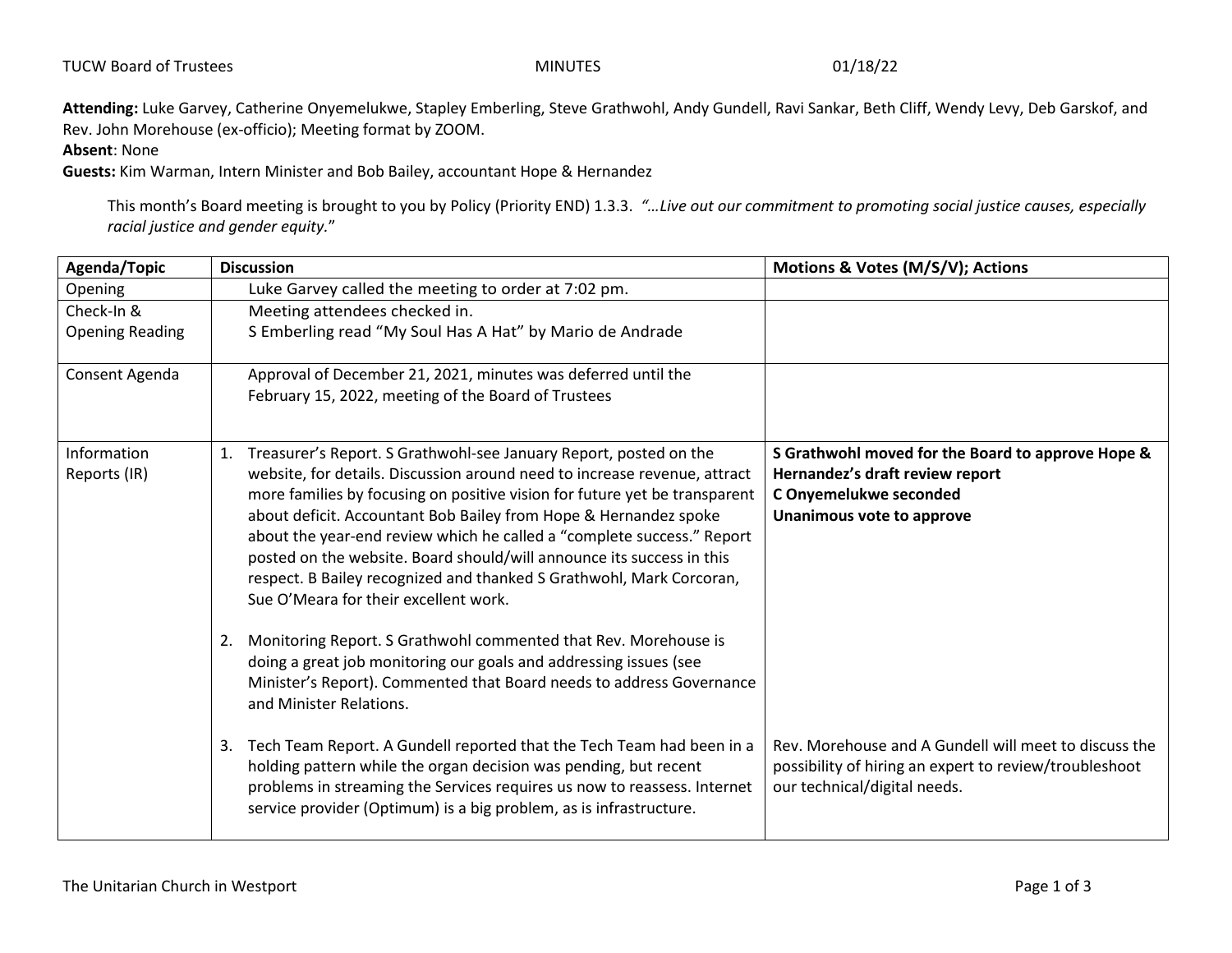**Attending:** Luke Garvey, Catherine Onyemelukwe, Stapley Emberling, Steve Grathwohl, Andy Gundell, Ravi Sankar, Beth Cliff, Wendy Levy, Deb Garskof, and Rev. John Morehouse (ex-officio); Meeting format by ZOOM.

**Absent**: None

**Guests:** Kim Warman, Intern Minister and Bob Bailey, accountant Hope & Hernandez

This month's Board meeting is brought to you by Policy (Priority END) 1.3.3. *"…Live out our commitment to promoting social justice causes, especially racial justice and gender equity.*"

| Agenda/Topic           | <b>Discussion</b>                                                                                                                                                                                                                                                                              | Motions & Votes (M/S/V); Actions                                                                                                                |
|------------------------|------------------------------------------------------------------------------------------------------------------------------------------------------------------------------------------------------------------------------------------------------------------------------------------------|-------------------------------------------------------------------------------------------------------------------------------------------------|
| Opening                | Luke Garvey called the meeting to order at 7:02 pm.                                                                                                                                                                                                                                            |                                                                                                                                                 |
| Check-In &             | Meeting attendees checked in.                                                                                                                                                                                                                                                                  |                                                                                                                                                 |
| <b>Opening Reading</b> | S Emberling read "My Soul Has A Hat" by Mario de Andrade                                                                                                                                                                                                                                       |                                                                                                                                                 |
| Consent Agenda         | Approval of December 21, 2021, minutes was deferred until the                                                                                                                                                                                                                                  |                                                                                                                                                 |
|                        | February 15, 2022, meeting of the Board of Trustees                                                                                                                                                                                                                                            |                                                                                                                                                 |
| Information            | Treasurer's Report. S Grathwohl-see January Report, posted on the<br>1.                                                                                                                                                                                                                        | S Grathwohl moved for the Board to approve Hope &                                                                                               |
| Reports (IR)           | website, for details. Discussion around need to increase revenue, attract                                                                                                                                                                                                                      | Hernandez's draft review report                                                                                                                 |
|                        | more families by focusing on positive vision for future yet be transparent<br>about deficit. Accountant Bob Bailey from Hope & Hernandez spoke                                                                                                                                                 | C Onyemelukwe seconded<br>Unanimous vote to approve                                                                                             |
|                        | about the year-end review which he called a "complete success." Report<br>posted on the website. Board should/will announce its success in this<br>respect. B Bailey recognized and thanked S Grathwohl, Mark Corcoran,<br>Sue O'Meara for their excellent work.                               |                                                                                                                                                 |
|                        | Monitoring Report. S Grathwohl commented that Rev. Morehouse is<br>2.<br>doing a great job monitoring our goals and addressing issues (see<br>Minister's Report). Commented that Board needs to address Governance<br>and Minister Relations.                                                  |                                                                                                                                                 |
|                        | 3. Tech Team Report. A Gundell reported that the Tech Team had been in a<br>holding pattern while the organ decision was pending, but recent<br>problems in streaming the Services requires us now to reassess. Internet<br>service provider (Optimum) is a big problem, as is infrastructure. | Rev. Morehouse and A Gundell will meet to discuss the<br>possibility of hiring an expert to review/troubleshoot<br>our technical/digital needs. |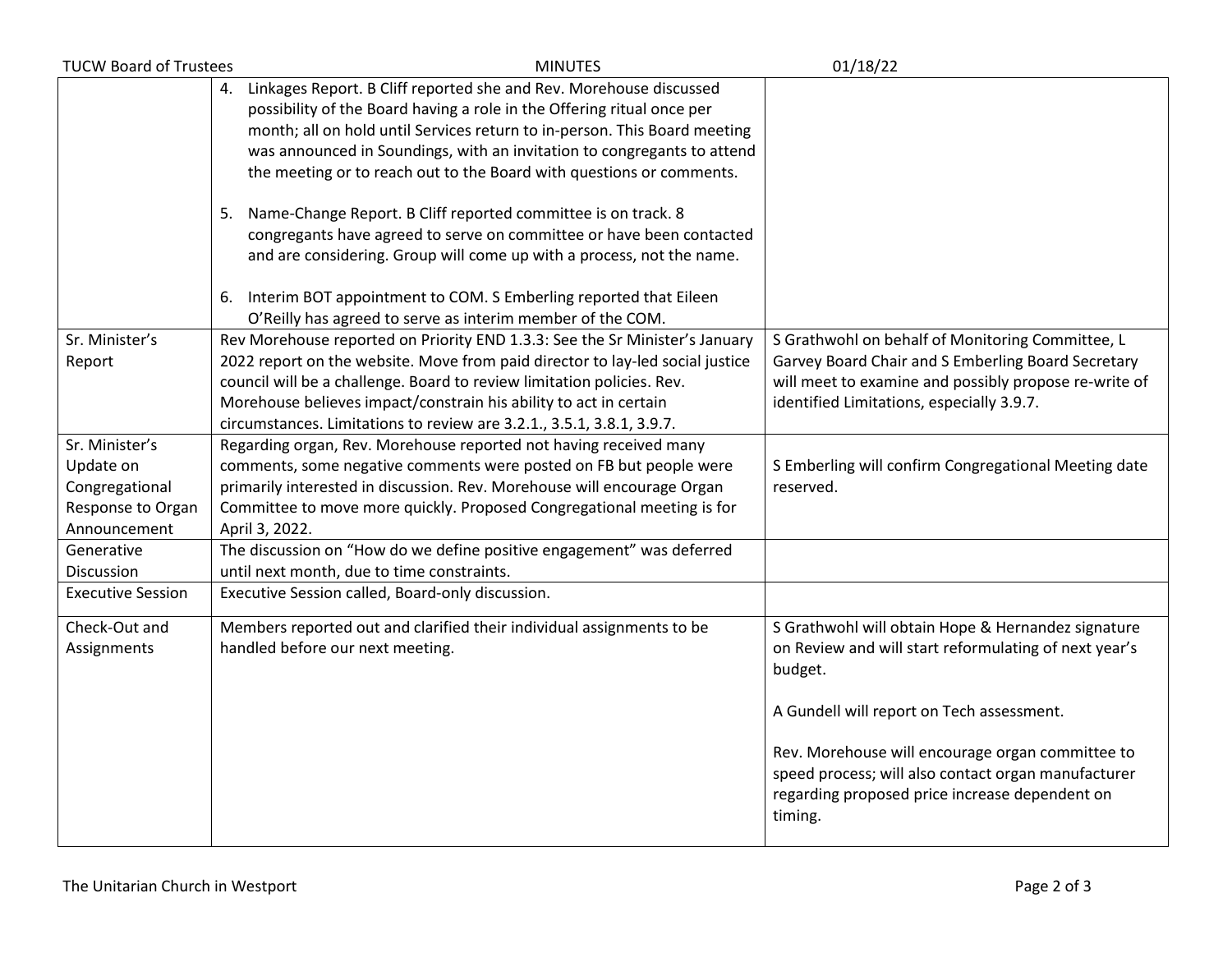| <b>TUCW Board of Trustees</b> | <b>MINUTES</b>                                                                | 01/18/22                                              |
|-------------------------------|-------------------------------------------------------------------------------|-------------------------------------------------------|
|                               | Linkages Report. B Cliff reported she and Rev. Morehouse discussed<br>4.      |                                                       |
|                               | possibility of the Board having a role in the Offering ritual once per        |                                                       |
|                               | month; all on hold until Services return to in-person. This Board meeting     |                                                       |
|                               | was announced in Soundings, with an invitation to congregants to attend       |                                                       |
|                               | the meeting or to reach out to the Board with questions or comments.          |                                                       |
|                               |                                                                               |                                                       |
|                               | 5. Name-Change Report. B Cliff reported committee is on track. 8              |                                                       |
|                               | congregants have agreed to serve on committee or have been contacted          |                                                       |
|                               | and are considering. Group will come up with a process, not the name.         |                                                       |
|                               |                                                                               |                                                       |
|                               | 6. Interim BOT appointment to COM. S Emberling reported that Eileen           |                                                       |
|                               | O'Reilly has agreed to serve as interim member of the COM.                    |                                                       |
| Sr. Minister's                | Rev Morehouse reported on Priority END 1.3.3: See the Sr Minister's January   | S Grathwohl on behalf of Monitoring Committee, L      |
| Report                        | 2022 report on the website. Move from paid director to lay-led social justice | Garvey Board Chair and S Emberling Board Secretary    |
|                               | council will be a challenge. Board to review limitation policies. Rev.        | will meet to examine and possibly propose re-write of |
|                               | Morehouse believes impact/constrain his ability to act in certain             | identified Limitations, especially 3.9.7.             |
|                               | circumstances. Limitations to review are 3.2.1., 3.5.1, 3.8.1, 3.9.7.         |                                                       |
| Sr. Minister's                | Regarding organ, Rev. Morehouse reported not having received many             |                                                       |
| Update on                     | comments, some negative comments were posted on FB but people were            | S Emberling will confirm Congregational Meeting date  |
| Congregational                | primarily interested in discussion. Rev. Morehouse will encourage Organ       | reserved.                                             |
| Response to Organ             | Committee to move more quickly. Proposed Congregational meeting is for        |                                                       |
| Announcement                  | April 3, 2022.                                                                |                                                       |
| Generative                    | The discussion on "How do we define positive engagement" was deferred         |                                                       |
| Discussion                    | until next month, due to time constraints.                                    |                                                       |
| <b>Executive Session</b>      | Executive Session called, Board-only discussion.                              |                                                       |
| Check-Out and                 | Members reported out and clarified their individual assignments to be         | S Grathwohl will obtain Hope & Hernandez signature    |
| Assignments                   | handled before our next meeting.                                              | on Review and will start reformulating of next year's |
|                               |                                                                               | budget.                                               |
|                               |                                                                               |                                                       |
|                               |                                                                               | A Gundell will report on Tech assessment.             |
|                               |                                                                               |                                                       |
|                               |                                                                               | Rev. Morehouse will encourage organ committee to      |
|                               |                                                                               | speed process; will also contact organ manufacturer   |
|                               |                                                                               | regarding proposed price increase dependent on        |
|                               |                                                                               | timing.                                               |
|                               |                                                                               |                                                       |